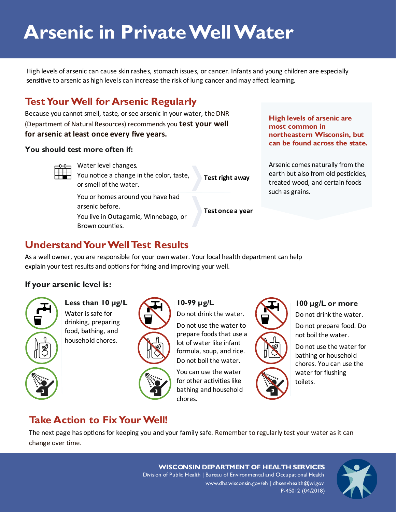# **Arsenic in Private Well Water**

High levels of arsenic can cause skin rashes, stomach issues, or cancer. Infants and young children are especially sensitive to arsenic as high levels can increase the risk of lung cancer and may affect learning.

# **Test Your Well for Arsenic Regularly**

Because you cannot smell, taste, or see arsenic in your water, the DNR (Department of Natural Resources) recommends you **test your well for arsenic at least once every five years.** 

#### **You should test more often if:**



Water level changes. You notice a change in the color, taste, or smell of the water.

You or homes around you have had arsenic before.

You live in Outagamie, Winnebago, or Brown counties.

**High levels of arsenic are most common in northeastern Wisconsin, but can be found across the state.**

Arsenic comes naturally from the earth but also from old pesticides, treated wood, and certain foods such as grains.

**Test once a year** 

**Test right away**

# **Understand Your Well Test Results**

As a well owner, you are responsible for your own water. Your local health department can help explain your test results and options for fixing and improving your well.

## **If your arsenic level is:**



**Less than 10 µg/L** Water is safe for drinking, preparing food, bathing, and household chores.



**10-99 µg/L** Do not drink the water.

Do not use the water to prepare foods that use a lot of water like infant formula, soup, and rice. Do not boil the water.

You can use the water for other activities like bathing and household chores.

## **100 µg/L or more**

Do not drink the water.

Do not prepare food. Do not boil the water.

Do not use the water for bathing or household chores. You can use the water for flushing toilets.

# **Take Action to Fix Your Well!**

The next page has options for keeping you and your family safe. Remember to regularly test your water as it can change over time.

> **WISCONSIN DEPARTMENT OF HEALTH SERVICES** Division of Public Health | Bureau of Environmental and Occupational Health www.dhs.wisconsin.gov/eh | dhsenvhealth@wi.gov P-45012 (04/2018)